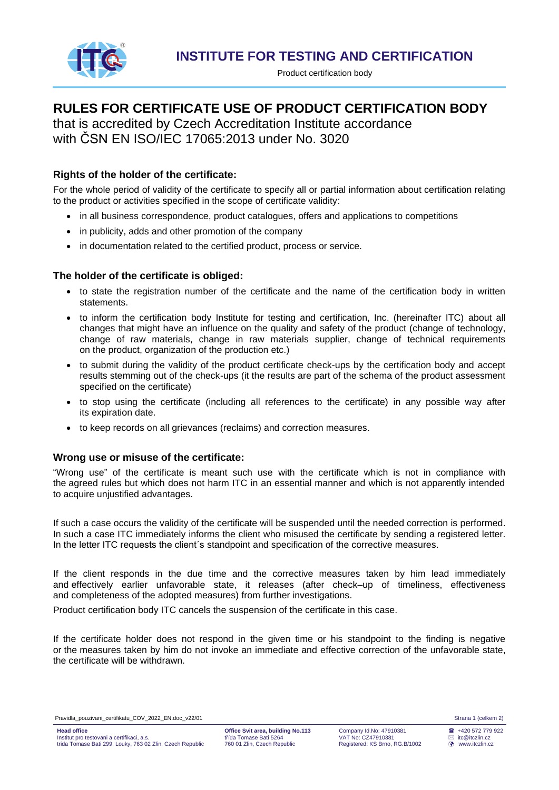

Product certification body

# **RULES FOR CERTIFICATE USE OF PRODUCT CERTIFICATION BODY**

that is accredited by Czech Accreditation Institute accordance with ČSN EN ISO/IEC 17065:2013 under No. 3020

## **Rights of the holder of the certificate:**

For the whole period of validity of the certificate to specify all or partial information about certification relating to the product or activities specified in the scope of certificate validity:

- in all business correspondence, product catalogues, offers and applications to competitions
- in publicity, adds and other promotion of the company
- in documentation related to the certified product, process or service.

## **The holder of the certificate is obliged:**

- to state the registration number of the certificate and the name of the certification body in written statements.
- to inform the certification body Institute for testing and certification, Inc. (hereinafter ITC) about all changes that might have an influence on the quality and safety of the product (change of technology, change of raw materials, change in raw materials supplier, change of technical requirements on the product, organization of the production etc.)
- to submit during the validity of the product certificate check-ups by the certification body and accept results stemming out of the check-ups (it the results are part of the schema of the product assessment specified on the certificate)
- to stop using the certificate (including all references to the certificate) in any possible way after its expiration date.
- to keep records on all grievances (reclaims) and correction measures.

### **Wrong use or misuse of the certificate:**

"Wrong use" of the certificate is meant such use with the certificate which is not in compliance with the agreed rules but which does not harm ITC in an essential manner and which is not apparently intended to acquire unjustified advantages.

If such a case occurs the validity of the certificate will be suspended until the needed correction is performed. In such a case ITC immediately informs the client who misused the certificate by sending a registered letter. In the letter ITC requests the client's standpoint and specification of the corrective measures.

If the client responds in the due time and the corrective measures taken by him lead immediately and effectively earlier unfavorable state, it releases (after check–up of timeliness, effectiveness and completeness of the adopted measures) from further investigations.

Product certification body ITC cancels the suspension of the certificate in this case.

If the certificate holder does not respond in the given time or his standpoint to the finding is negative or the measures taken by him do not invoke an immediate and effective correction of the unfavorable state, the certificate will be withdrawn.

Pravidla\_pouzivani\_certifikatu\_COV\_2022\_EN.doc\_v22/01 Strana 1 (celkem 2)

 $\frac{62}{22}$  +420 572 779 922 itc@itczlin.cz www.itczlin.cz